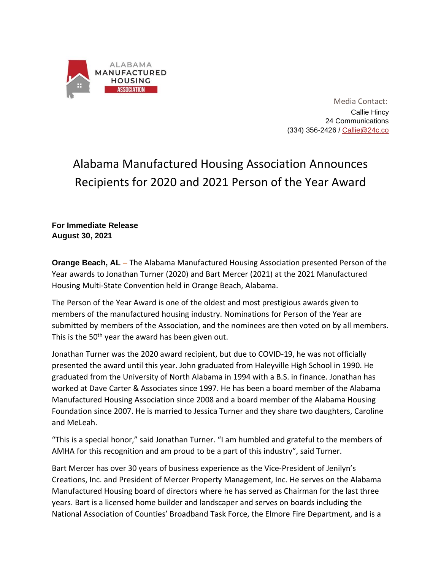

 Media Contact: Callie Hincy 24 Communications (334) 356-2426 / [Callie@24c.co](mailto:Callie@24c.co)

## Alabama Manufactured Housing Association Announces Recipients for 2020 and 2021 Person of the Year Award

**For Immediate Release August 30, 2021**

**Orange Beach, AL** – The Alabama Manufactured Housing Association presented Person of the Year awards to Jonathan Turner (2020) and Bart Mercer (2021) at the 2021 Manufactured Housing Multi-State Convention held in Orange Beach, Alabama.

The Person of the Year Award is one of the oldest and most prestigious awards given to members of the manufactured housing industry. Nominations for Person of the Year are submitted by members of the Association, and the nominees are then voted on by all members. This is the 50<sup>th</sup> year the award has been given out.

Jonathan Turner was the 2020 award recipient, but due to COVID-19, he was not officially presented the award until this year. John graduated from Haleyville High School in 1990. He graduated from the University of North Alabama in 1994 with a B.S. in finance. Jonathan has worked at Dave Carter & Associates since 1997. He has been a board member of the Alabama Manufactured Housing Association since 2008 and a board member of the Alabama Housing Foundation since 2007. He is married to Jessica Turner and they share two daughters, Caroline and MeLeah.

"This is a special honor," said Jonathan Turner. "I am humbled and grateful to the members of AMHA for this recognition and am proud to be a part of this industry", said Turner.

Bart Mercer has over 30 years of business experience as the Vice-President of Jenilyn's Creations, Inc. and President of Mercer Property Management, Inc. He serves on the Alabama Manufactured Housing board of directors where he has served as Chairman for the last three years. Bart is a licensed home builder and landscaper and serves on boards including the National Association of Counties' Broadband Task Force, the Elmore Fire Department, and is a